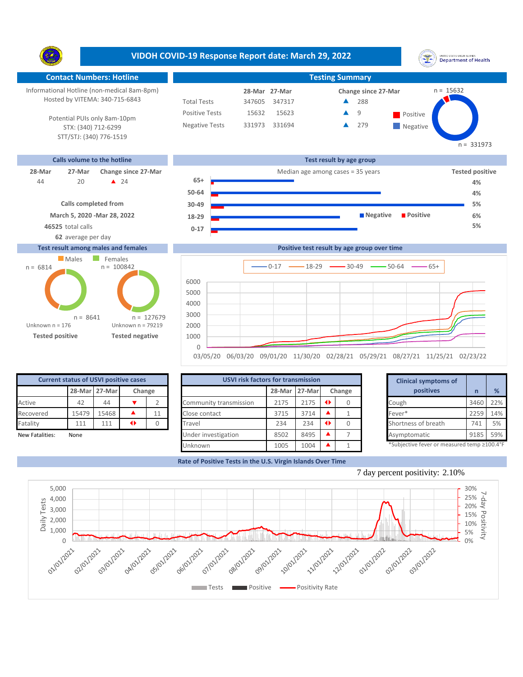**VIDOH COVID-19 Response Report date: March 29, 2022** UNITED STATES VIRGIN SLANDS<br>Department of Health Y. **Contact Numbers: Hotline Testing Summary** Informational Hotline (non-medical 8am-8pm)  $n = 15632$ **28-Mar Change since 27-Mar 27-Mar** Hosted by VITEMA: 340-715-6843 Total Tests 347605 347317 288 ▲ Positive Tests 9 15632 15623  $\triangle$  9 Positive  $\blacktriangle$ Potential PUIs only 8am-10pm Negative Tests 331973 331694 279 ▲ **Negative** STX: (340) 712-6299 STT/STJ: (340) 776-1519 n = 331973 **Calls volume to the hotline Test result by age group 28-Mar 27-Mar Change since 27-Mar Change since 27-Mar Change and Change among cases = 35 years Tested positive 65+** 20 ▲ 24 44 **120 ▲ 24 65+ <del>■ </del> 4% 50-64 4% Calls completed from 30-49 5% March 5, 2020 -Mar 28, 2022 Negative Positive 6% 18-29**

**0-17**

**46525** total calls **5%**

## **Test result among males and females**

**62** average per day





| <b>Current status of USVI positive cases</b> |       |                         |  |               |  |  |  |  |  |  |  |
|----------------------------------------------|-------|-------------------------|--|---------------|--|--|--|--|--|--|--|
|                                              |       | 28-Mar 27-Mar<br>Change |  |               |  |  |  |  |  |  |  |
| Active                                       | 42    | 44                      |  | $\mathcal{P}$ |  |  |  |  |  |  |  |
| Recovered                                    | 15479 | 15468                   |  | 11            |  |  |  |  |  |  |  |
| Fatality                                     | 111   | 111                     |  |               |  |  |  |  |  |  |  |
| New Fatalities:                              | None  |                         |  |               |  |  |  |  |  |  |  |

|                 | <b>Current status of USVI positive cases</b> |               |    |        | <b>USVI risk factors for transmission</b> |        |        |        |  |                                            |      |               |
|-----------------|----------------------------------------------|---------------|----|--------|-------------------------------------------|--------|--------|--------|--|--------------------------------------------|------|---------------|
|                 |                                              | 28-Mar 27-Mar |    | Change |                                           | 28-Mar | 27-Mar | Change |  | positives                                  |      | $\frac{9}{6}$ |
| Active          | 42                                           | 44            |    |        | Community transmission                    | 2175   | 2175   |        |  | Cough                                      | 3460 | 22%           |
| Recovered       | 15479                                        | 15468         |    | 11     | Close contact                             | 3715   | 3714   |        |  | Fever*                                     | 2259 | 14%           |
| Fatality        | 111                                          | 111           | 41 |        | Travel                                    | 234    | 234    |        |  | Shortness of breath                        | 741  | 5%            |
| New Fatalities: | None                                         |               |    |        | Under investigation                       | 8502   | 8495   |        |  | Asymptomatic                               | 9185 | 59%           |
|                 |                                              |               |    |        | Unknown                                   | 1005   | 1004   |        |  | *Subjective fever or measured temp ≥100.4° |      |               |

|        | for transmission |   |        | <b>Clinical symptoms of</b>                 |      |     |  |
|--------|------------------|---|--------|---------------------------------------------|------|-----|--|
| 28-Mar | 27-Mar           |   | Change | positives                                   | n    | %   |  |
| 2175   | 2175             | O | 0      | Cough                                       | 3460 | 22% |  |
| 3715   | 3714             |   |        | Fever*                                      | 2259 | 14% |  |
| 234    | 234              | ◆ | O      | Shortness of breath                         | 741  | 5%  |  |
| 8502   | 8495             |   |        | Asymptomatic                                | 9185 | 59% |  |
| 1005   | 1004             |   |        | *Subjective fever or measured temp ≥100.4°F |      |     |  |

**Rate of Positive Tests in the U.S. Virgin Islands Over Time**